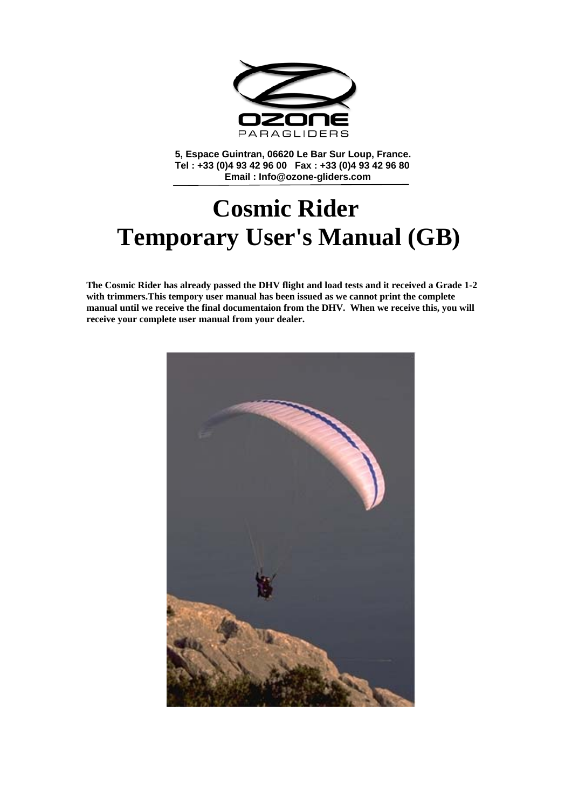

**5, Espace Guintran, 06620 Le Bar Sur Loup, France. Tel : +33 (0)4 93 42 96 00 Fax : +33 (0)4 93 42 96 80 Email : Info@ozone-gliders.com** 

# **Cosmic Rider Temporary User's Manual (GB)**

**The Cosmic Rider has already passed the DHV flight and load tests and it received a Grade 1-2 with trimmers.This tempory user manual has been issued as we cannot print the complete manual until we receive the final documentaion from the DHV. When we receive this, you will receive your complete user manual from your dealer.** 

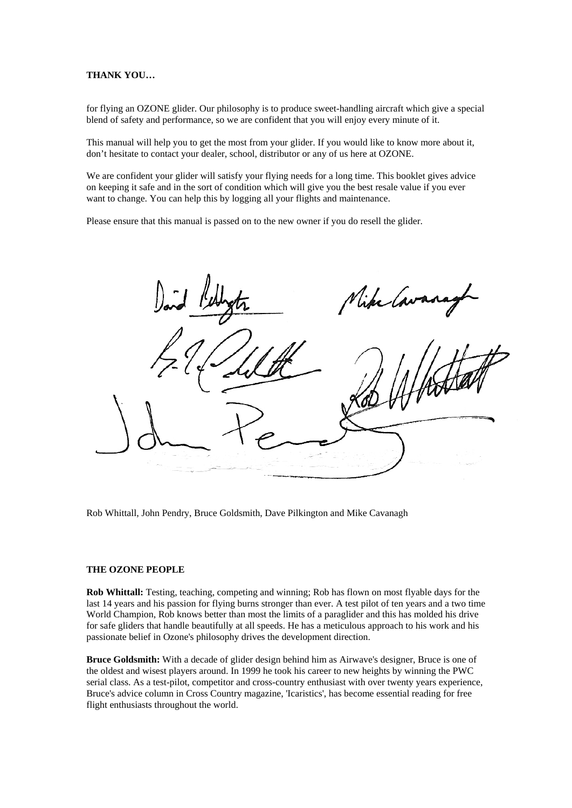# **THANK YOU…**

for flying an OZONE glider. Our philosophy is to produce sweet-handling aircraft which give a special blend of safety and performance, so we are confident that you will enjoy every minute of it.

This manual will help you to get the most from your glider. If you would like to know more about it, don't hesitate to contact your dealer, school, distributor or any of us here at OZONE.

We are confident your glider will satisfy your flying needs for a long time. This booklet gives advice on keeping it safe and in the sort of condition which will give you the best resale value if you ever want to change. You can help this by logging all your flights and maintenance.

Please ensure that this manual is passed on to the new owner if you do resell the glider.

like 1

Rob Whittall, John Pendry, Bruce Goldsmith, Dave Pilkington and Mike Cavanagh

#### **THE OZONE PEOPLE**

**Rob Whittall:** Testing, teaching, competing and winning; Rob has flown on most flyable days for the last 14 years and his passion for flying burns stronger than ever. A test pilot of ten years and a two time World Champion, Rob knows better than most the limits of a paraglider and this has molded his drive for safe gliders that handle beautifully at all speeds. He has a meticulous approach to his work and his passionate belief in Ozone's philosophy drives the development direction.

**Bruce Goldsmith:** With a decade of glider design behind him as Airwave's designer, Bruce is one of the oldest and wisest players around. In 1999 he took his career to new heights by winning the PWC serial class. As a test-pilot, competitor and cross-country enthusiast with over twenty years experience, Bruce's advice column in Cross Country magazine, 'Icaristics', has become essential reading for free flight enthusiasts throughout the world.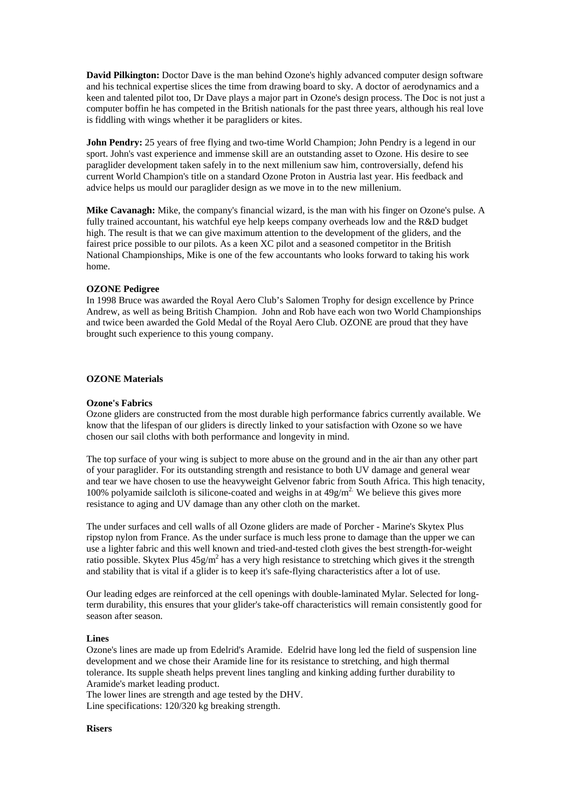**David Pilkington:** Doctor Dave is the man behind Ozone's highly advanced computer design software and his technical expertise slices the time from drawing board to sky. A doctor of aerodynamics and a keen and talented pilot too, Dr Dave plays a major part in Ozone's design process. The Doc is not just a computer boffin he has competed in the British nationals for the past three years, although his real love is fiddling with wings whether it be paragliders or kites.

**John Pendry:** 25 years of free flying and two-time World Champion; John Pendry is a legend in our sport. John's vast experience and immense skill are an outstanding asset to Ozone. His desire to see paraglider development taken safely in to the next millenium saw him, controversially, defend his current World Champion's title on a standard Ozone Proton in Austria last year. His feedback and advice helps us mould our paraglider design as we move in to the new millenium.

**Mike Cavanagh:** Mike, the company's financial wizard, is the man with his finger on Ozone's pulse. A fully trained accountant, his watchful eye help keeps company overheads low and the R&D budget high. The result is that we can give maximum attention to the development of the gliders, and the fairest price possible to our pilots. As a keen XC pilot and a seasoned competitor in the British National Championships, Mike is one of the few accountants who looks forward to taking his work home.

#### **OZONE Pedigree**

In 1998 Bruce was awarded the Royal Aero Club's Salomen Trophy for design excellence by Prince Andrew, as well as being British Champion. John and Rob have each won two World Championships and twice been awarded the Gold Medal of the Royal Aero Club. OZONE are proud that they have brought such experience to this young company.

#### **OZONE Materials**

#### **Ozone's Fabrics**

Ozone gliders are constructed from the most durable high performance fabrics currently available. We know that the lifespan of our gliders is directly linked to your satisfaction with Ozone so we have chosen our sail cloths with both performance and longevity in mind.

The top surface of your wing is subject to more abuse on the ground and in the air than any other part of your paraglider. For its outstanding strength and resistance to both UV damage and general wear and tear we have chosen to use the heavyweight Gelvenor fabric from South Africa. This high tenacity, 100% polyamide sailcloth is silicone-coated and weighs in at  $49g/m<sup>2</sup>$ . We believe this gives more resistance to aging and UV damage than any other cloth on the market.

The under surfaces and cell walls of all Ozone gliders are made of Porcher - Marine's Skytex Plus ripstop nylon from France. As the under surface is much less prone to damage than the upper we can use a lighter fabric and this well known and tried-and-tested cloth gives the best strength-for-weight ratio possible. Skytex Plus  $45g/m^2$  has a very high resistance to stretching which gives it the strength and stability that is vital if a glider is to keep it's safe-flying characteristics after a lot of use.

Our leading edges are reinforced at the cell openings with double-laminated Mylar. Selected for longterm durability, this ensures that your glider's take-off characteristics will remain consistently good for season after season.

#### **Lines**

Ozone's lines are made up from Edelrid's Aramide. Edelrid have long led the field of suspension line development and we chose their Aramide line for its resistance to stretching, and high thermal tolerance. Its supple sheath helps prevent lines tangling and kinking adding further durability to Aramide's market leading product.

The lower lines are strength and age tested by the DHV.

Line specifications: 120/320 kg breaking strength.

# **Risers**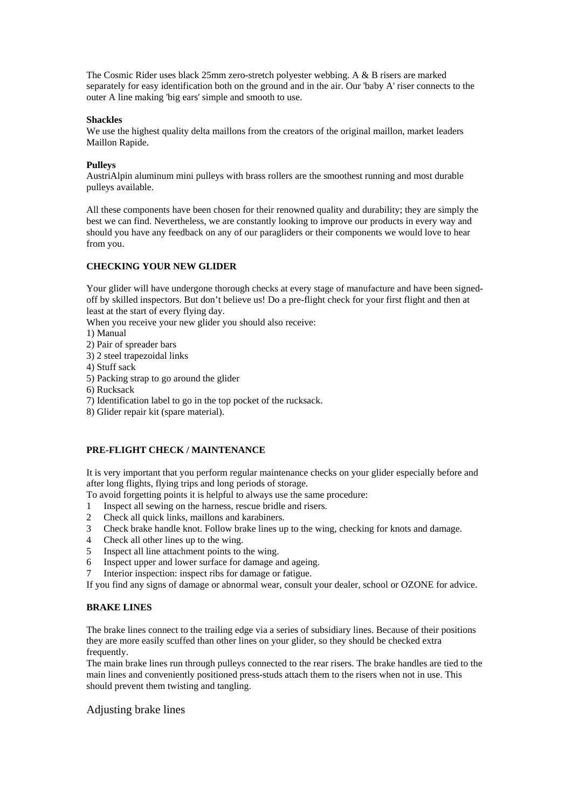The Cosmic Rider uses black 25mm zero-stretch polyester webbing. A & B risers are marked separately for easy identification both on the ground and in the air. Our 'baby A' riser connects to the outer A line making 'big ears' simple and smooth to use.

#### **Shackles**

We use the highest quality delta maillons from the creators of the original maillon, market leaders Maillon Rapide.

#### **Pulleys**

AustriAlpin aluminum mini pulleys with brass rollers are the smoothest running and most durable pulleys available.

All these components have been chosen for their renowned quality and durability; they are simply the best we can find. Nevertheless, we are constantly looking to improve our products in every way and should you have any feedback on any of our paragliders or their components we would love to hear from you.

# **CHECKING YOUR NEW GLIDER**

Your glider will have undergone thorough checks at every stage of manufacture and have been signedoff by skilled inspectors. But don't believe us! Do a pre-flight check for your first flight and then at least at the start of every flying day.

When you receive your new glider you should also receive:

- 1) Manual
- 2) Pair of spreader bars
- 3) 2 steel trapezoidal links
- 4) Stuff sack
- 5) Packing strap to go around the glider
- 6) Rucksack
- 7) Identification label to go in the top pocket of the rucksack.
- 8) Glider repair kit (spare material).

# **PRE-FLIGHT CHECK / MAINTENANCE**

It is very important that you perform regular maintenance checks on your glider especially before and after long flights, flying trips and long periods of storage.

To avoid forgetting points it is helpful to always use the same procedure:

- 1 Inspect all sewing on the harness, rescue bridle and risers.
- 2 Check all quick links, maillons and karabiners.
- 3 Check brake handle knot. Follow brake lines up to the wing, checking for knots and damage.
- 4 Check all other lines up to the wing.
- 5 Inspect all line attachment points to the wing.
- 6 Inspect upper and lower surface for damage and ageing.
- 7 Interior inspection: inspect ribs for damage or fatigue.

If you find any signs of damage or abnormal wear, consult your dealer, school or OZONE for advice.

# **BRAKE LINES**

The brake lines connect to the trailing edge via a series of subsidiary lines. Because of their positions they are more easily scuffed than other lines on your glider, so they should be checked extra frequently.

The main brake lines run through pulleys connected to the rear risers. The brake handles are tied to the main lines and conveniently positioned press-studs attach them to the risers when not in use. This should prevent them twisting and tangling.

# Adjusting brake lines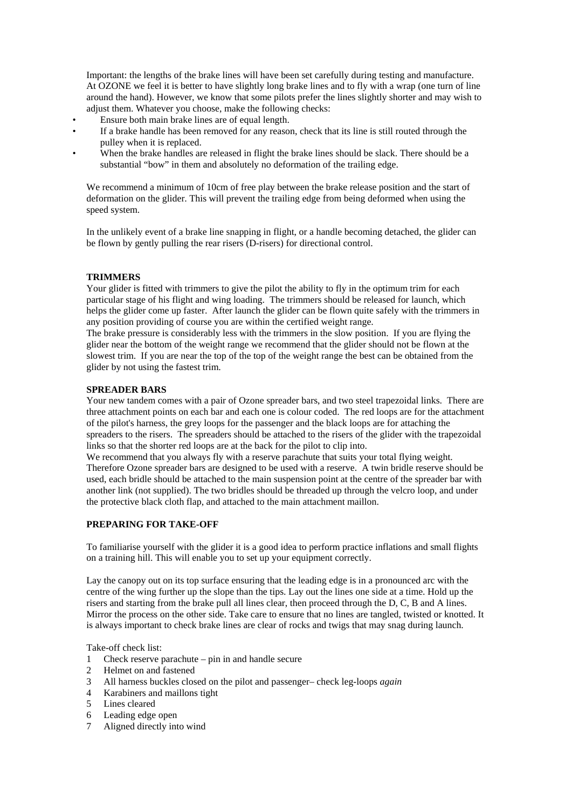Important: the lengths of the brake lines will have been set carefully during testing and manufacture. At OZONE we feel it is better to have slightly long brake lines and to fly with a wrap (one turn of line around the hand). However, we know that some pilots prefer the lines slightly shorter and may wish to adjust them. Whatever you choose, make the following checks:

- Ensure both main brake lines are of equal length.
- If a brake handle has been removed for any reason, check that its line is still routed through the pulley when it is replaced.
- When the brake handles are released in flight the brake lines should be slack. There should be a substantial "bow" in them and absolutely no deformation of the trailing edge.

We recommend a minimum of 10cm of free play between the brake release position and the start of deformation on the glider. This will prevent the trailing edge from being deformed when using the speed system.

In the unlikely event of a brake line snapping in flight, or a handle becoming detached, the glider can be flown by gently pulling the rear risers (D-risers) for directional control.

# **TRIMMERS**

Your glider is fitted with trimmers to give the pilot the ability to fly in the optimum trim for each particular stage of his flight and wing loading. The trimmers should be released for launch, which helps the glider come up faster. After launch the glider can be flown quite safely with the trimmers in any position providing of course you are within the certified weight range.

The brake pressure is considerably less with the trimmers in the slow position. If you are flying the glider near the bottom of the weight range we recommend that the glider should not be flown at the slowest trim. If you are near the top of the top of the weight range the best can be obtained from the glider by not using the fastest trim.

# **SPREADER BARS**

Your new tandem comes with a pair of Ozone spreader bars, and two steel trapezoidal links. There are three attachment points on each bar and each one is colour coded. The red loops are for the attachment of the pilot's harness, the grey loops for the passenger and the black loops are for attaching the spreaders to the risers. The spreaders should be attached to the risers of the glider with the trapezoidal links so that the shorter red loops are at the back for the pilot to clip into.

We recommend that you always fly with a reserve parachute that suits your total flying weight. Therefore Ozone spreader bars are designed to be used with a reserve. A twin bridle reserve should be used, each bridle should be attached to the main suspension point at the centre of the spreader bar with another link (not supplied). The two bridles should be threaded up through the velcro loop, and under the protective black cloth flap, and attached to the main attachment maillon.

# **PREPARING FOR TAKE-OFF**

To familiarise yourself with the glider it is a good idea to perform practice inflations and small flights on a training hill. This will enable you to set up your equipment correctly.

Lay the canopy out on its top surface ensuring that the leading edge is in a pronounced arc with the centre of the wing further up the slope than the tips. Lay out the lines one side at a time. Hold up the risers and starting from the brake pull all lines clear, then proceed through the D, C, B and A lines. Mirror the process on the other side. Take care to ensure that no lines are tangled, twisted or knotted. It is always important to check brake lines are clear of rocks and twigs that may snag during launch.

Take-off check list:

- 1 Check reserve parachute pin in and handle secure
- 2 Helmet on and fastened
- 3 All harness buckles closed on the pilot and passenger– check leg-loops *again*
- 4 Karabiners and maillons tight
- 5 Lines cleared
- 6 Leading edge open
- 7 Aligned directly into wind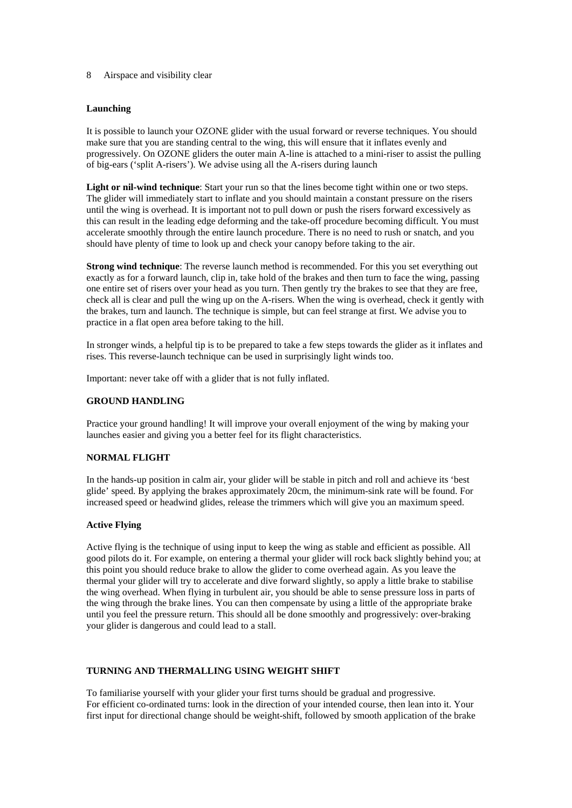#### 8 Airspace and visibility clear

### **Launching**

It is possible to launch your OZONE glider with the usual forward or reverse techniques. You should make sure that you are standing central to the wing, this will ensure that it inflates evenly and progressively. On OZONE gliders the outer main A-line is attached to a mini-riser to assist the pulling of big-ears ('split A-risers'). We advise using all the A-risers during launch

Light or nil-wind technique: Start your run so that the lines become tight within one or two steps. The glider will immediately start to inflate and you should maintain a constant pressure on the risers until the wing is overhead. It is important not to pull down or push the risers forward excessively as this can result in the leading edge deforming and the take-off procedure becoming difficult. You must accelerate smoothly through the entire launch procedure. There is no need to rush or snatch, and you should have plenty of time to look up and check your canopy before taking to the air.

**Strong wind technique**: The reverse launch method is recommended. For this you set everything out exactly as for a forward launch, clip in, take hold of the brakes and then turn to face the wing, passing one entire set of risers over your head as you turn. Then gently try the brakes to see that they are free, check all is clear and pull the wing up on the A-risers. When the wing is overhead, check it gently with the brakes, turn and launch. The technique is simple, but can feel strange at first. We advise you to practice in a flat open area before taking to the hill.

In stronger winds, a helpful tip is to be prepared to take a few steps towards the glider as it inflates and rises. This reverse-launch technique can be used in surprisingly light winds too.

Important: never take off with a glider that is not fully inflated.

#### **GROUND HANDLING**

Practice your ground handling! It will improve your overall enjoyment of the wing by making your launches easier and giving you a better feel for its flight characteristics.

# **NORMAL FLIGHT**

In the hands-up position in calm air, your glider will be stable in pitch and roll and achieve its 'best glide' speed. By applying the brakes approximately 20cm, the minimum-sink rate will be found. For increased speed or headwind glides, release the trimmers which will give you an maximum speed.

#### **Active Flying**

Active flying is the technique of using input to keep the wing as stable and efficient as possible. All good pilots do it. For example, on entering a thermal your glider will rock back slightly behind you; at this point you should reduce brake to allow the glider to come overhead again. As you leave the thermal your glider will try to accelerate and dive forward slightly, so apply a little brake to stabilise the wing overhead. When flying in turbulent air, you should be able to sense pressure loss in parts of the wing through the brake lines. You can then compensate by using a little of the appropriate brake until you feel the pressure return. This should all be done smoothly and progressively: over-braking your glider is dangerous and could lead to a stall.

# **TURNING AND THERMALLING USING WEIGHT SHIFT**

To familiarise yourself with your glider your first turns should be gradual and progressive. For efficient co-ordinated turns: look in the direction of your intended course, then lean into it. Your first input for directional change should be weight-shift, followed by smooth application of the brake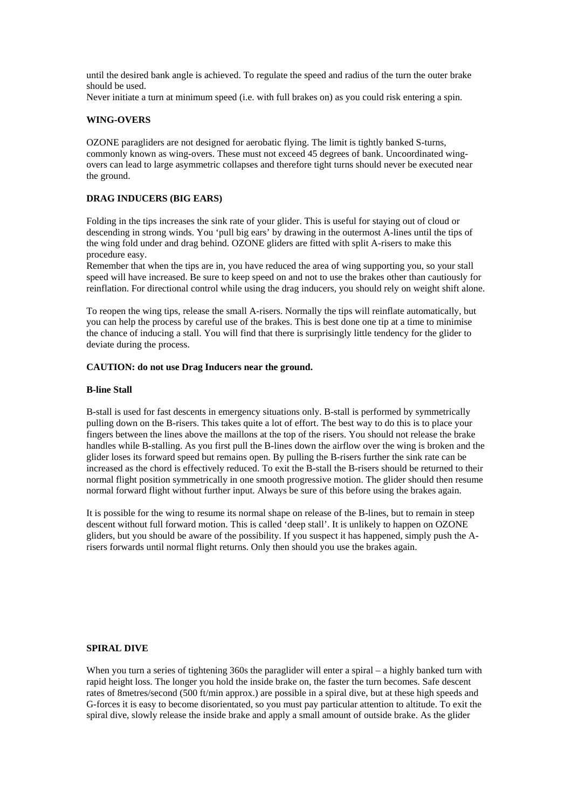until the desired bank angle is achieved. To regulate the speed and radius of the turn the outer brake should be used.

Never initiate a turn at minimum speed (i.e. with full brakes on) as you could risk entering a spin.

#### **WING-OVERS**

OZONE paragliders are not designed for aerobatic flying. The limit is tightly banked S-turns, commonly known as wing-overs. These must not exceed 45 degrees of bank. Uncoordinated wingovers can lead to large asymmetric collapses and therefore tight turns should never be executed near the ground.

### **DRAG INDUCERS (BIG EARS)**

Folding in the tips increases the sink rate of your glider. This is useful for staying out of cloud or descending in strong winds. You 'pull big ears' by drawing in the outermost A-lines until the tips of the wing fold under and drag behind. OZONE gliders are fitted with split A-risers to make this procedure easy.

Remember that when the tips are in, you have reduced the area of wing supporting you, so your stall speed will have increased. Be sure to keep speed on and not to use the brakes other than cautiously for reinflation. For directional control while using the drag inducers, you should rely on weight shift alone.

To reopen the wing tips, release the small A-risers. Normally the tips will reinflate automatically, but you can help the process by careful use of the brakes. This is best done one tip at a time to minimise the chance of inducing a stall. You will find that there is surprisingly little tendency for the glider to deviate during the process.

#### **CAUTION: do not use Drag Inducers near the ground.**

#### **B-line Stall**

B-stall is used for fast descents in emergency situations only. B-stall is performed by symmetrically pulling down on the B-risers. This takes quite a lot of effort. The best way to do this is to place your fingers between the lines above the maillons at the top of the risers. You should not release the brake handles while B-stalling. As you first pull the B-lines down the airflow over the wing is broken and the glider loses its forward speed but remains open. By pulling the B-risers further the sink rate can be increased as the chord is effectively reduced. To exit the B-stall the B-risers should be returned to their normal flight position symmetrically in one smooth progressive motion. The glider should then resume normal forward flight without further input. Always be sure of this before using the brakes again.

It is possible for the wing to resume its normal shape on release of the B-lines, but to remain in steep descent without full forward motion. This is called 'deep stall'. It is unlikely to happen on OZONE gliders, but you should be aware of the possibility. If you suspect it has happened, simply push the Arisers forwards until normal flight returns. Only then should you use the brakes again.

# **SPIRAL DIVE**

When you turn a series of tightening 360s the paraglider will enter a spiral – a highly banked turn with rapid height loss. The longer you hold the inside brake on, the faster the turn becomes. Safe descent rates of 8metres/second (500 ft/min approx.) are possible in a spiral dive, but at these high speeds and G-forces it is easy to become disorientated, so you must pay particular attention to altitude. To exit the spiral dive, slowly release the inside brake and apply a small amount of outside brake. As the glider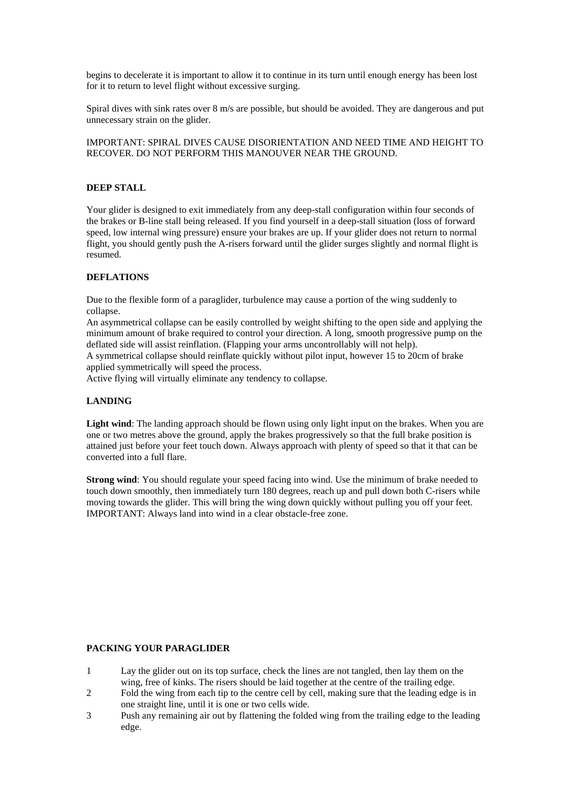begins to decelerate it is important to allow it to continue in its turn until enough energy has been lost for it to return to level flight without excessive surging.

Spiral dives with sink rates over 8 m/s are possible, but should be avoided. They are dangerous and put unnecessary strain on the glider.

IMPORTANT: SPIRAL DIVES CAUSE DISORIENTATION AND NEED TIME AND HEIGHT TO RECOVER. DO NOT PERFORM THIS MANOUVER NEAR THE GROUND.

# **DEEP STALL**

Your glider is designed to exit immediately from any deep-stall configuration within four seconds of the brakes or B-line stall being released. If you find yourself in a deep-stall situation (loss of forward speed, low internal wing pressure) ensure your brakes are up. If your glider does not return to normal flight, you should gently push the A-risers forward until the glider surges slightly and normal flight is resumed.

# **DEFLATIONS**

Due to the flexible form of a paraglider, turbulence may cause a portion of the wing suddenly to collapse.

An asymmetrical collapse can be easily controlled by weight shifting to the open side and applying the minimum amount of brake required to control your direction. A long, smooth progressive pump on the deflated side will assist reinflation. (Flapping your arms uncontrollably will not help).

A symmetrical collapse should reinflate quickly without pilot input, however 15 to 20cm of brake applied symmetrically will speed the process.

Active flying will virtually eliminate any tendency to collapse.

# **LANDING**

**Light wind**: The landing approach should be flown using only light input on the brakes. When you are one or two metres above the ground, apply the brakes progressively so that the full brake position is attained just before your feet touch down. Always approach with plenty of speed so that it that can be converted into a full flare.

**Strong wind**: You should regulate your speed facing into wind. Use the minimum of brake needed to touch down smoothly, then immediately turn 180 degrees, reach up and pull down both C-risers while moving towards the glider. This will bring the wing down quickly without pulling you off your feet. IMPORTANT: Always land into wind in a clear obstacle-free zone.

#### **PACKING YOUR PARAGLIDER**

- 1 Lay the glider out on its top surface, check the lines are not tangled, then lay them on the wing, free of kinks. The risers should be laid together at the centre of the trailing edge.
- 2 Fold the wing from each tip to the centre cell by cell, making sure that the leading edge is in one straight line, until it is one or two cells wide.
- 3 Push any remaining air out by flattening the folded wing from the trailing edge to the leading edge.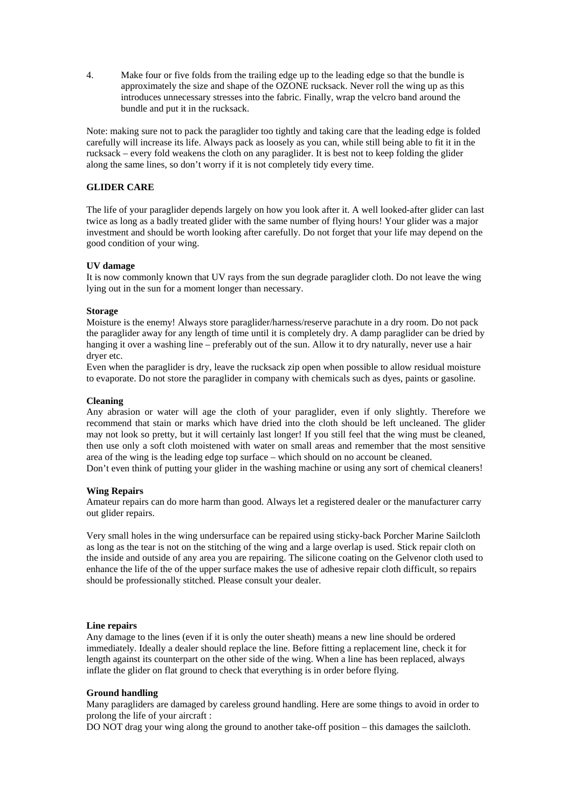4. Make four or five folds from the trailing edge up to the leading edge so that the bundle is approximately the size and shape of the OZONE rucksack. Never roll the wing up as this introduces unnecessary stresses into the fabric. Finally, wrap the velcro band around the bundle and put it in the rucksack.

Note: making sure not to pack the paraglider too tightly and taking care that the leading edge is folded carefully will increase its life. Always pack as loosely as you can, while still being able to fit it in the rucksack – every fold weakens the cloth on any paraglider. It is best not to keep folding the glider along the same lines, so don't worry if it is not completely tidy every time.

#### **GLIDER CARE**

The life of your paraglider depends largely on how you look after it. A well looked-after glider can last twice as long as a badly treated glider with the same number of flying hours! Your glider was a major investment and should be worth looking after carefully. Do not forget that your life may depend on the good condition of your wing.

#### **UV damage**

It is now commonly known that UV rays from the sun degrade paraglider cloth. Do not leave the wing lying out in the sun for a moment longer than necessary.

#### **Storage**

Moisture is the enemy! Always store paraglider/harness/reserve parachute in a dry room. Do not pack the paraglider away for any length of time until it is completely dry. A damp paraglider can be dried by hanging it over a washing line – preferably out of the sun. Allow it to dry naturally, never use a hair dryer etc.

Even when the paraglider is dry, leave the rucksack zip open when possible to allow residual moisture to evaporate. Do not store the paraglider in company with chemicals such as dyes, paints or gasoline.

#### **Cleaning**

Any abrasion or water will age the cloth of your paraglider, even if only slightly. Therefore we recommend that stain or marks which have dried into the cloth should be left uncleaned. The glider may not look so pretty, but it will certainly last longer! If you still feel that the wing must be cleaned, then use only a soft cloth moistened with water on small areas and remember that the most sensitive area of the wing is the leading edge top surface – which should on no account be cleaned.

Don't even think of putting your glider in the washing machine or using any sort of chemical cleaners!

#### **Wing Repairs**

Amateur repairs can do more harm than good. Always let a registered dealer or the manufacturer carry out glider repairs.

Very small holes in the wing undersurface can be repaired using sticky-back Porcher Marine Sailcloth as long as the tear is not on the stitching of the wing and a large overlap is used. Stick repair cloth on the inside and outside of any area you are repairing. The silicone coating on the Gelvenor cloth used to enhance the life of the of the upper surface makes the use of adhesive repair cloth difficult, so repairs should be professionally stitched. Please consult your dealer.

#### **Line repairs**

Any damage to the lines (even if it is only the outer sheath) means a new line should be ordered immediately. Ideally a dealer should replace the line. Before fitting a replacement line, check it for length against its counterpart on the other side of the wing. When a line has been replaced, always inflate the glider on flat ground to check that everything is in order before flying.

#### **Ground handling**

Many paragliders are damaged by careless ground handling. Here are some things to avoid in order to prolong the life of your aircraft :

DO NOT drag your wing along the ground to another take-off position – this damages the sailcloth.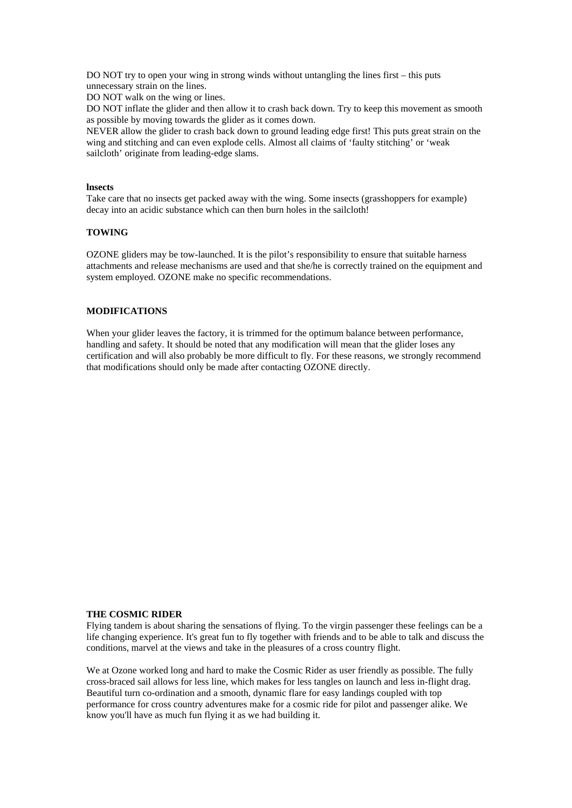DO NOT try to open your wing in strong winds without untangling the lines first – this puts unnecessary strain on the lines.

DO NOT walk on the wing or lines.

DO NOT inflate the glider and then allow it to crash back down. Try to keep this movement as smooth as possible by moving towards the glider as it comes down.

NEVER allow the glider to crash back down to ground leading edge first! This puts great strain on the wing and stitching and can even explode cells. Almost all claims of 'faulty stitching' or 'weak sailcloth' originate from leading-edge slams.

#### **lnsects**

Take care that no insects get packed away with the wing. Some insects (grasshoppers for example) decay into an acidic substance which can then burn holes in the sailcloth!

#### **TOWING**

OZONE gliders may be tow-launched. It is the pilot's responsibility to ensure that suitable harness attachments and release mechanisms are used and that she/he is correctly trained on the equipment and system employed. OZONE make no specific recommendations.

# **MODIFICATIONS**

When your glider leaves the factory, it is trimmed for the optimum balance between performance, handling and safety. It should be noted that any modification will mean that the glider loses any certification and will also probably be more difficult to fly. For these reasons, we strongly recommend that modifications should only be made after contacting OZONE directly.

#### **THE COSMIC RIDER**

Flying tandem is about sharing the sensations of flying. To the virgin passenger these feelings can be a life changing experience. It's great fun to fly together with friends and to be able to talk and discuss the conditions, marvel at the views and take in the pleasures of a cross country flight.

We at Ozone worked long and hard to make the Cosmic Rider as user friendly as possible. The fully cross-braced sail allows for less line, which makes for less tangles on launch and less in-flight drag. Beautiful turn co-ordination and a smooth, dynamic flare for easy landings coupled with top performance for cross country adventures make for a cosmic ride for pilot and passenger alike. We know you'll have as much fun flying it as we had building it.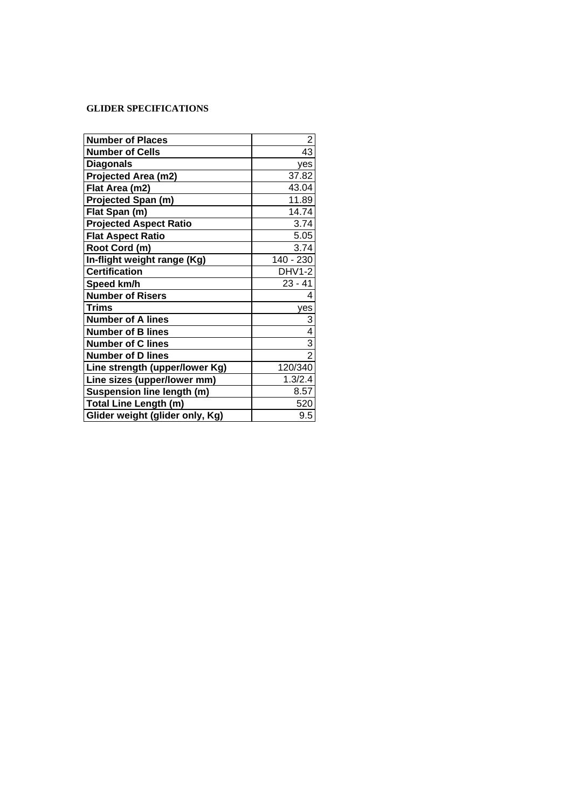# **GLIDER SPECIFICATIONS**

| <b>Number of Places</b>           | 2              |
|-----------------------------------|----------------|
| <b>Number of Cells</b>            | 43             |
| <b>Diagonals</b>                  | ves            |
| Projected Area (m2)               | 37.82          |
| Flat Area (m2)                    | 43.04          |
| <b>Projected Span (m)</b>         | 11.89          |
| Flat Span (m)                     | 14.74          |
| <b>Projected Aspect Ratio</b>     | 3.74           |
| <b>Flat Aspect Ratio</b>          | 5.05           |
| Root Cord (m)                     | 3.74           |
| In-flight weight range (Kg)       | 140 - 230      |
| <b>Certification</b>              | DHV1-2         |
| Speed km/h                        | $23 - 41$      |
| <b>Number of Risers</b>           | 4              |
| Trims                             | yes            |
| <b>Number of A lines</b>          | 3              |
| <b>Number of B lines</b>          | 4              |
| <b>Number of C lines</b>          | 3              |
| <b>Number of D lines</b>          | $\overline{2}$ |
| Line strength (upper/lower Kg)    | 120/340        |
| Line sizes (upper/lower mm)       | 1.3/2.4        |
| <b>Suspension line length (m)</b> | 8.57           |
| <b>Total Line Length (m)</b>      | 520            |
| Glider weight (glider only, Kg)   | 9.5            |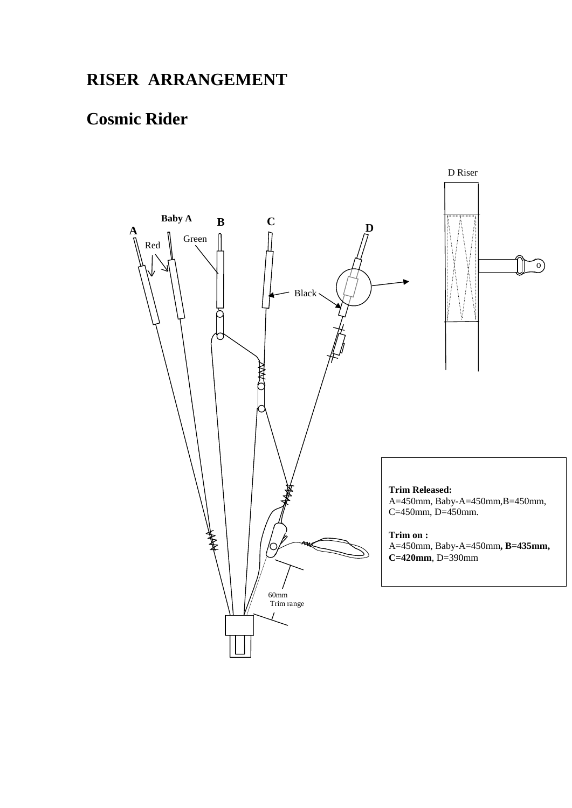# **RISER ARRANGEMENT**

# **Cosmic Rider**

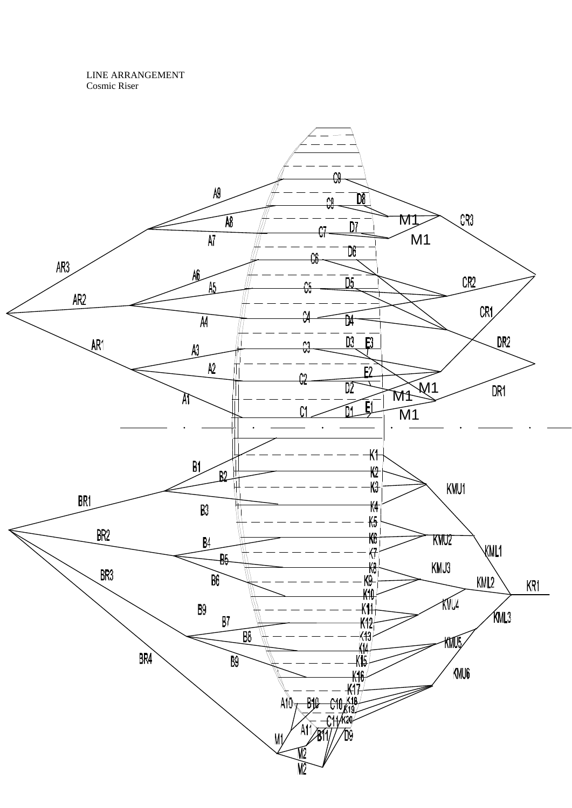